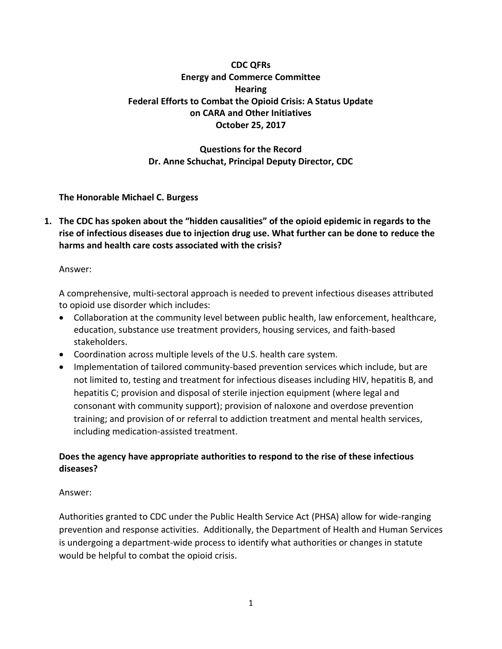## **CDC QFRs Energy and Commerce Committee Hearing Federal Efforts to Combat the Opioid Crisis: A Status Update on CARA and Other Initiatives October 25, 2017**

# **Questions for the Record Dr. Anne Schuchat, Principal Deputy Director, CDC**

**The Honorable Michael C. Burgess**

**1. The CDC has spoken about the "hidden causalities" of the opioid epidemic in regards to the rise of infectious diseases due to injection drug use. What further can be done to reduce the harms and health care costs associated with the crisis?** 

### Answer:

A comprehensive, multi-sectoral approach is needed to prevent infectious diseases attributed to opioid use disorder which includes:

- Collaboration at the community level between public health, law enforcement, healthcare, education, substance use treatment providers, housing services, and faith-based stakeholders.
- Coordination across multiple levels of the U.S. health care system.
- Implementation of tailored community-based prevention services which include, but are not limited to, testing and treatment for infectious diseases including HIV, hepatitis B, and hepatitis C; provision and disposal of sterile injection equipment (where legal and consonant with community support); provision of naloxone and overdose prevention training; and provision of or referral to addiction treatment and mental health services, including medication-assisted treatment.

# **Does the agency have appropriate authorities to respond to the rise of these infectious diseases?**

## Answer:

Authorities granted to CDC under the Public Health Service Act (PHSA) allow for wide-ranging prevention and response activities. Additionally, the Department of Health and Human Services is undergoing a department-wide process to identify what authorities or changes in statute would be helpful to combat the opioid crisis.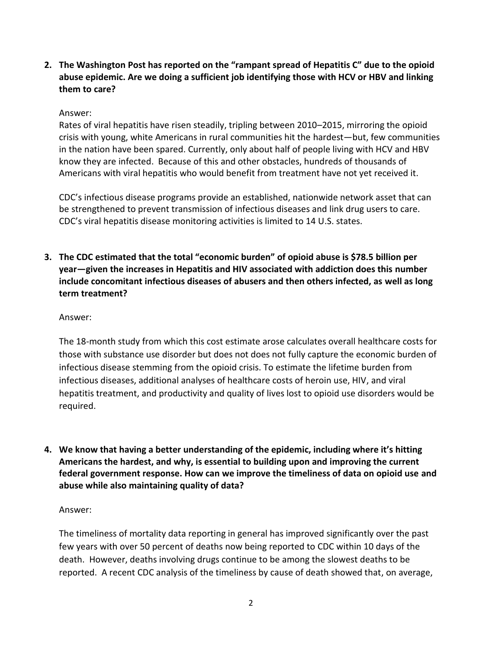**2. The Washington Post has reported on the "rampant spread of Hepatitis C" due to the opioid abuse epidemic. Are we doing a sufficient job identifying those with HCV or HBV and linking them to care?**

### Answer:

Rates of viral hepatitis have risen steadily, tripling between 2010–2015, mirroring the opioid crisis with young, white Americans in rural communities hit the hardest—but, few communities in the nation have been spared. Currently, only about half of people living with HCV and HBV know they are infected. Because of this and other obstacles, hundreds of thousands of Americans with viral hepatitis who would benefit from treatment have not yet received it.

CDC's infectious disease programs provide an established, nationwide network asset that can be strengthened to prevent transmission of infectious diseases and link drug users to care. CDC's viral hepatitis disease monitoring activities is limited to 14 U.S. states.

**3. The CDC estimated that the total "economic burden" of opioid abuse is \$78.5 billion per year—given the increases in Hepatitis and HIV associated with addiction does this number include concomitant infectious diseases of abusers and then others infected, as well as long term treatment?**

### Answer:

The 18-month study from which this cost estimate arose calculates overall healthcare costs for those with substance use disorder but does not does not fully capture the economic burden of infectious disease stemming from the opioid crisis. To estimate the lifetime burden from infectious diseases, additional analyses of healthcare costs of heroin use, HIV, and viral hepatitis treatment, and productivity and quality of lives lost to opioid use disorders would be required.

**4. We know that having a better understanding of the epidemic, including where it's hitting Americans the hardest, and why, is essential to building upon and improving the current federal government response. How can we improve the timeliness of data on opioid use and abuse while also maintaining quality of data?**

### Answer:

The timeliness of mortality data reporting in general has improved significantly over the past few years with over 50 percent of deaths now being reported to CDC within 10 days of the death. However, deaths involving drugs continue to be among the slowest deaths to be reported. A recent CDC analysis of the timeliness by cause of death showed that, on average,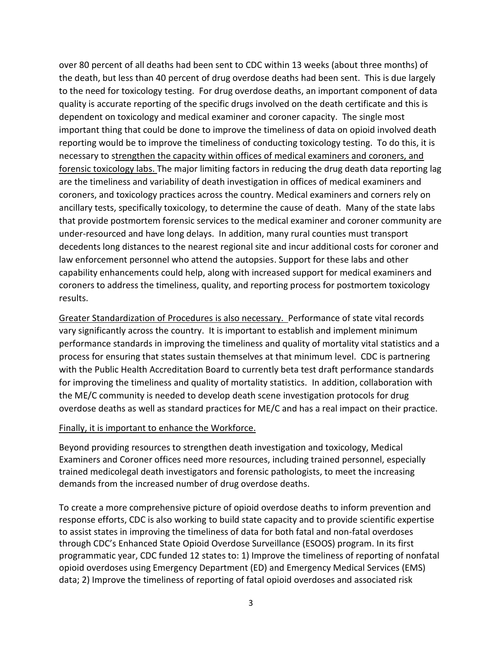over 80 percent of all deaths had been sent to CDC within 13 weeks (about three months) of the death, but less than 40 percent of drug overdose deaths had been sent. This is due largely to the need for toxicology testing. For drug overdose deaths, an important component of data quality is accurate reporting of the specific drugs involved on the death certificate and this is dependent on toxicology and medical examiner and coroner capacity. The single most important thing that could be done to improve the timeliness of data on opioid involved death reporting would be to improve the timeliness of conducting toxicology testing. To do this, it is necessary to strengthen the capacity within offices of medical examiners and coroners, and forensic toxicology labs. The major limiting factors in reducing the drug death data reporting lag are the timeliness and variability of death investigation in offices of medical examiners and coroners, and toxicology practices across the country. Medical examiners and corners rely on ancillary tests, specifically toxicology, to determine the cause of death. Many of the state labs that provide postmortem forensic services to the medical examiner and coroner community are under-resourced and have long delays. In addition, many rural counties must transport decedents long distances to the nearest regional site and incur additional costs for coroner and law enforcement personnel who attend the autopsies. Support for these labs and other capability enhancements could help, along with increased support for medical examiners and coroners to address the timeliness, quality, and reporting process for postmortem toxicology results.

Greater Standardization of Procedures is also necessary. Performance of state vital records vary significantly across the country. It is important to establish and implement minimum performance standards in improving the timeliness and quality of mortality vital statistics and a process for ensuring that states sustain themselves at that minimum level. CDC is partnering with the Public Health Accreditation Board to currently beta test draft performance standards for improving the timeliness and quality of mortality statistics. In addition, collaboration with the ME/C community is needed to develop death scene investigation protocols for drug overdose deaths as well as standard practices for ME/C and has a real impact on their practice.

#### Finally, it is important to enhance the Workforce.

Beyond providing resources to strengthen death investigation and toxicology, Medical Examiners and Coroner offices need more resources, including trained personnel, especially trained medicolegal death investigators and forensic pathologists, to meet the increasing demands from the increased number of drug overdose deaths.

To create a more comprehensive picture of opioid overdose deaths to inform prevention and response efforts, CDC is also working to build state capacity and to provide scientific expertise to assist states in improving the timeliness of data for both fatal and non-fatal overdoses through CDC's Enhanced State Opioid Overdose Surveillance (ESOOS) program. In its first programmatic year, CDC funded 12 states to: 1) Improve the timeliness of reporting of nonfatal opioid overdoses using Emergency Department (ED) and Emergency Medical Services (EMS) data; 2) Improve the timeliness of reporting of fatal opioid overdoses and associated risk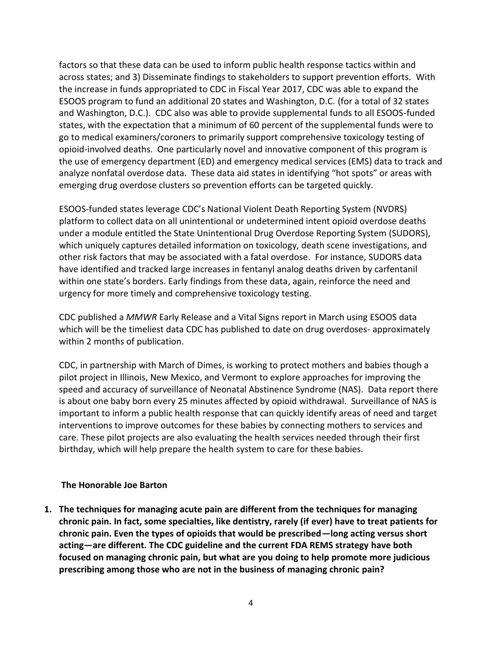factors so that these data can be used to inform public health response tactics within and across states; and 3) Disseminate findings to stakeholders to support prevention efforts. With the increase in funds appropriated to CDC in Fiscal Year 2017, CDC was able to expand the ESOOS program to fund an additional 20 states and Washington, D.C. (for a total of 32 states and Washington, D.C.). CDC also was able to provide supplemental funds to all ESOOS-funded states, with the expectation that a minimum of 60 percent of the supplemental funds were to go to medical examiners/coroners to primarily support comprehensive toxicology testing of opioid-involved deaths. One particularly novel and innovative component of this program is the use of emergency department (ED) and emergency medical services (EMS) data to track and analyze nonfatal overdose data. These data aid states in identifying "hot spots" or areas with emerging drug overdose clusters so prevention efforts can be targeted quickly.

ESOOS-funded states leverage CDC's National Violent Death Reporting System (NVDRS) platform to collect data on all unintentional or undetermined intent opioid overdose deaths under a module entitled the State Unintentional Drug Overdose Reporting System (SUDORS), which uniquely captures detailed information on toxicology, death scene investigations, and other risk factors that may be associated with a fatal overdose. For instance, SUDORS data have identified and tracked large increases in fentanyl analog deaths driven by carfentanil within one state's borders. Early findings from these data, again, reinforce the need and urgency for more timely and comprehensive toxicology testing.

CDC published a *MMWR* Early Release and a Vital Signs report in March using ESOOS data which will be the timeliest data CDC has published to date on drug overdoses- approximately within 2 months of publication.

CDC, in partnership with March of Dimes, is working to protect mothers and babies though a pilot project in Illinois, New Mexico, and Vermont to explore approaches for improving the speed and accuracy of surveillance of Neonatal Abstinence Syndrome (NAS). Data report there is about one baby born every 25 minutes affected by opioid withdrawal. Surveillance of NAS is important to inform a public health response that can quickly identify areas of need and target interventions to improve outcomes for these babies by connecting mothers to services and care. These pilot projects are also evaluating the health services needed through their first birthday, which will help prepare the health system to care for these babies.

### **The Honorable Joe Barton**

**1. The techniques for managing acute pain are different from the techniques for managing chronic pain. In fact, some specialties, like dentistry, rarely (if ever) have to treat patients for chronic pain. Even the types of opioids that would be prescribed—long acting versus short acting—are different. The CDC guideline and the current FDA REMS strategy have both focused on managing chronic pain, but what are you doing to help promote more judicious prescribing among those who are not in the business of managing chronic pain?**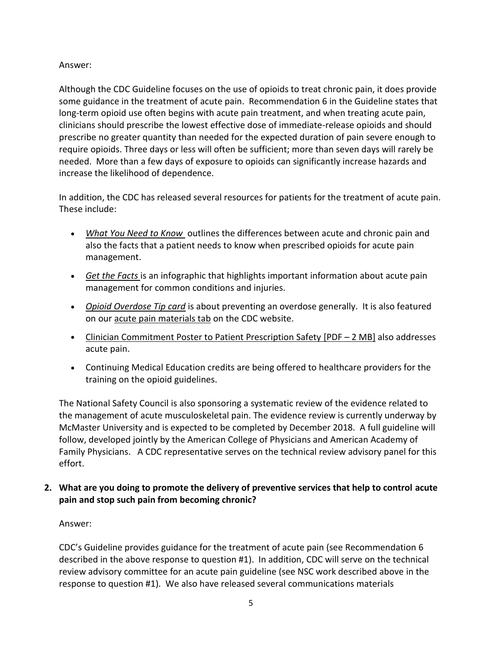### Answer:

Although the CDC Guideline focuses on the use of opioids to treat chronic pain, it does provide some guidance in the treatment of acute pain. Recommendation 6 in the Guideline states that long-term opioid use often begins with acute pain treatment, and when treating acute pain, clinicians should prescribe the lowest effective dose of immediate-release opioids and should prescribe no greater quantity than needed for the expected duration of pain severe enough to require opioids. Three days or less will often be sufficient; more than seven days will rarely be needed. More than a few days of exposure to opioids can significantly increase hazards and increase the likelihood of dependence.

In addition, the CDC has released several resources for patients for the treatment of acute pain. These include:

- *[What You Need to Know](https://www.cdc.gov/drugoverdose/pdf/patients/Opioids-for-Acute-Pain-a.pdf)* outlines the differences between acute and chronic pain and also the facts that a patient needs to know when prescribed opioids for acute pain management.
- *[Get the Facts](https://www.cdc.gov/drugoverdose/pdf/patients/Get-the-Facts-a.pdf)* is an infographic that highlights important information about acute pain management for common conditions and injuries.
- *[Opioid Overdose Tip card](https://www.cdc.gov/drugoverdose/pdf/patients/Preventing-an-Opioid-Overdose-Tip-Card-a.pdf)* is about preventing an overdose generally. It is also featured on our [acute pain materials tab](https://www.cdc.gov/drugoverdose/patients/materials.html) on the CDC website.
- [Clinician Commitment Poster to Patient Prescription Safety](https://www.cdc.gov/drugoverdose/pdf/Original-PatientPoster-Digital.pdf) [PDF 2 MB] also addresses acute pain.
- Continuing Medical Education credits are being offered to healthcare providers for the training on the opioid guidelines.

The National Safety Council is also sponsoring a systematic review of the evidence related to the management of acute musculoskeletal pain. The evidence review is currently underway by McMaster University and is expected to be completed by December 2018. A full guideline will follow, developed jointly by the American College of Physicians and American Academy of Family Physicians. A CDC representative serves on the technical review advisory panel for this effort.

**2. What are you doing to promote the delivery of preventive services that help to control acute pain and stop such pain from becoming chronic?**

### Answer:

CDC's Guideline provides guidance for the treatment of acute pain (see Recommendation 6 described in the above response to question #1). In addition, CDC will serve on the technical review advisory committee for an acute pain guideline (see NSC work described above in the response to question #1). We also have released several communications materials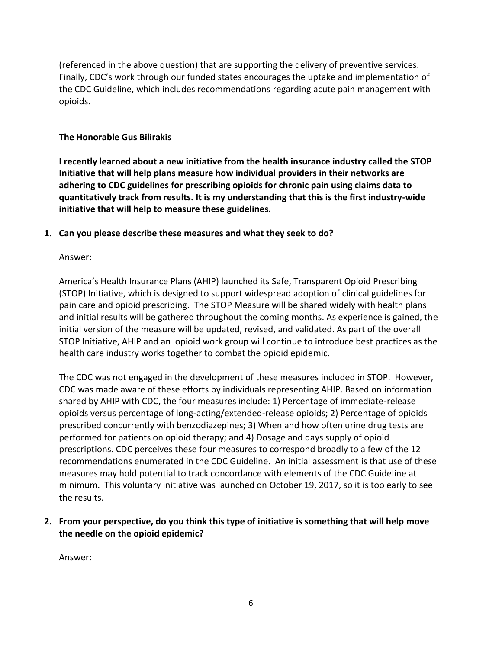(referenced in the above question) that are supporting the delivery of preventive services. Finally, CDC's work through our funded states encourages the uptake and implementation of the CDC Guideline, which includes recommendations regarding acute pain management with opioids.

### **The Honorable Gus Bilirakis**

**I recently learned about a new initiative from the health insurance industry called the STOP Initiative that will help plans measure how individual providers in their networks are adhering to CDC guidelines for prescribing opioids for chronic pain using claims data to quantitatively track from results. It is my understanding that this is the first industry-wide initiative that will help to measure these guidelines.**

### **1. Can you please describe these measures and what they seek to do?**

### Answer:

America's Health Insurance Plans (AHIP) launched its Safe, Transparent Opioid Prescribing (STOP) Initiative, which is designed to support widespread adoption of clinical guidelines for pain care and opioid prescribing. The STOP Measure will be shared widely with health plans and initial results will be gathered throughout the coming months. As experience is gained, the initial version of the measure will be updated, revised, and validated. As part of the overall STOP Initiative, AHIP and an opioid work group will continue to introduce best practices as the health care industry works together to combat the opioid epidemic.

The CDC was not engaged in the development of these measures included in STOP. However, CDC was made aware of these efforts by individuals representing AHIP. Based on information shared by AHIP with CDC, the four measures include: 1) Percentage of immediate-release opioids versus percentage of long-acting/extended-release opioids; 2) Percentage of opioids prescribed concurrently with benzodiazepines; 3) When and how often urine drug tests are performed for patients on opioid therapy; and 4) Dosage and days supply of opioid prescriptions. CDC perceives these four measures to correspond broadly to a few of the 12 recommendations enumerated in the CDC Guideline. An initial assessment is that use of these measures may hold potential to track concordance with elements of the CDC Guideline at minimum. This voluntary initiative was launched on October 19, 2017, so it is too early to see the results.

**2. From your perspective, do you think this type of initiative is something that will help move the needle on the opioid epidemic?**

Answer: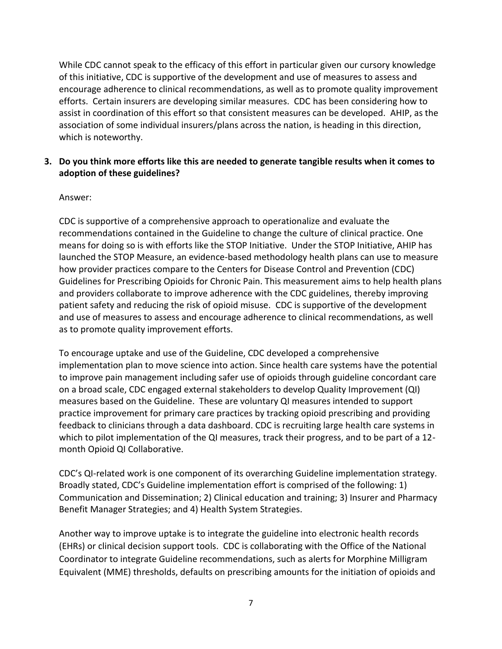While CDC cannot speak to the efficacy of this effort in particular given our cursory knowledge of this initiative, CDC is supportive of the development and use of measures to assess and encourage adherence to clinical recommendations, as well as to promote quality improvement efforts. Certain insurers are developing similar measures. CDC has been considering how to assist in coordination of this effort so that consistent measures can be developed. AHIP, as the association of some individual insurers/plans across the nation, is heading in this direction, which is noteworthy.

## **3. Do you think more efforts like this are needed to generate tangible results when it comes to adoption of these guidelines?**

### Answer:

CDC is supportive of a comprehensive approach to operationalize and evaluate the recommendations contained in the Guideline to change the culture of clinical practice. One means for doing so is with efforts like the STOP Initiative. Under the STOP Initiative, AHIP has launched the STOP Measure, an evidence-based methodology health plans can use to measure how provider practices compare to the Centers for Disease Control and Prevention (CDC) Guidelines for Prescribing Opioids for Chronic Pain. This measurement aims to help health plans and providers collaborate to improve adherence with the CDC guidelines, thereby improving patient safety and reducing the risk of opioid misuse. CDC is supportive of the development and use of measures to assess and encourage adherence to clinical recommendations, as well as to promote quality improvement efforts.

To encourage uptake and use of the Guideline, CDC developed a comprehensive implementation plan to move science into action. Since health care systems have the potential to improve pain management including safer use of opioids through guideline concordant care on a broad scale, CDC engaged external stakeholders to develop Quality Improvement (QI) measures based on the Guideline. These are voluntary QI measures intended to support practice improvement for primary care practices by tracking opioid prescribing and providing feedback to clinicians through a data dashboard. CDC is recruiting large health care systems in which to pilot implementation of the QI measures, track their progress, and to be part of a 12month Opioid QI Collaborative.

CDC's QI-related work is one component of its overarching Guideline implementation strategy. Broadly stated, CDC's Guideline implementation effort is comprised of the following: 1) Communication and Dissemination; 2) Clinical education and training; 3) Insurer and Pharmacy Benefit Manager Strategies; and 4) Health System Strategies.

Another way to improve uptake is to integrate the guideline into electronic health records (EHRs) or clinical decision support tools. CDC is collaborating with the Office of the National Coordinator to integrate Guideline recommendations, such as alerts for Morphine Milligram Equivalent (MME) thresholds, defaults on prescribing amounts for the initiation of opioids and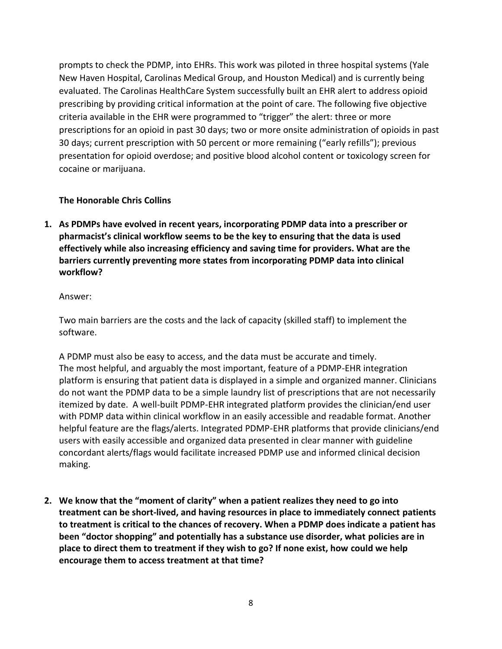prompts to check the PDMP, into EHRs. This work was piloted in three hospital systems (Yale New Haven Hospital, Carolinas Medical Group, and Houston Medical) and is currently being evaluated. The Carolinas HealthCare System successfully built an EHR alert to address opioid prescribing by providing critical information at the point of care. The following five objective criteria available in the EHR were programmed to "trigger" the alert: three or more prescriptions for an opioid in past 30 days; two or more onsite administration of opioids in past 30 days; current prescription with 50 percent or more remaining ("early refills"); previous presentation for opioid overdose; and positive blood alcohol content or toxicology screen for cocaine or marijuana.

### **The Honorable Chris Collins**

**1. As PDMPs have evolved in recent years, incorporating PDMP data into a prescriber or pharmacist's clinical workflow seems to be the key to ensuring that the data is used effectively while also increasing efficiency and saving time for providers. What are the barriers currently preventing more states from incorporating PDMP data into clinical workflow?**

### Answer:

Two main barriers are the costs and the lack of capacity (skilled staff) to implement the software.

A PDMP must also be easy to access, and the data must be accurate and timely. The most helpful, and arguably the most important, feature of a PDMP-EHR integration platform is ensuring that patient data is displayed in a simple and organized manner. Clinicians do not want the PDMP data to be a simple laundry list of prescriptions that are not necessarily itemized by date. A well-built PDMP-EHR integrated platform provides the clinician/end user with PDMP data within clinical workflow in an easily accessible and readable format. Another helpful feature are the flags/alerts. Integrated PDMP-EHR platforms that provide clinicians/end users with easily accessible and organized data presented in clear manner with guideline concordant alerts/flags would facilitate increased PDMP use and informed clinical decision making.

**2. We know that the "moment of clarity" when a patient realizes they need to go into treatment can be short-lived, and having resources in place to immediately connect patients to treatment is critical to the chances of recovery. When a PDMP does indicate a patient has been "doctor shopping" and potentially has a substance use disorder, what policies are in place to direct them to treatment if they wish to go? If none exist, how could we help encourage them to access treatment at that time?**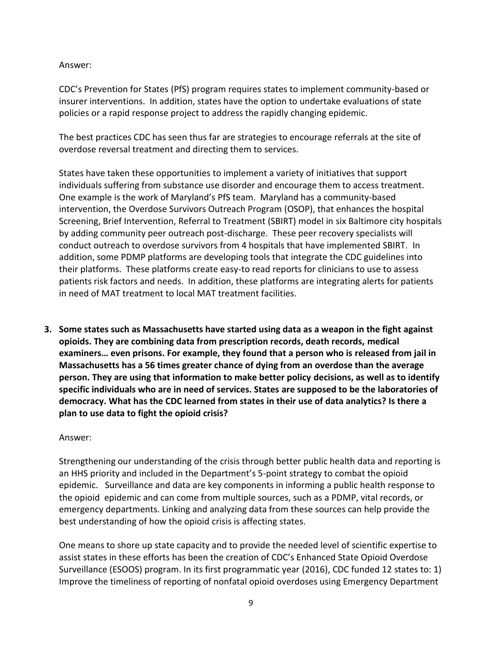Answer:

CDC's Prevention for States (PfS) program requires states to implement community-based or insurer interventions. In addition, states have the option to undertake evaluations of state policies or a rapid response project to address the rapidly changing epidemic.

The best practices CDC has seen thus far are strategies to encourage referrals at the site of overdose reversal treatment and directing them to services.

States have taken these opportunities to implement a variety of initiatives that support individuals suffering from substance use disorder and encourage them to access treatment. One example is the work of Maryland's PfS team. Maryland has a community-based intervention, the Overdose Survivors Outreach Program (OSOP), that enhances the hospital Screening, Brief Intervention, Referral to Treatment (SBIRT) model in six Baltimore city hospitals by adding community peer outreach post-discharge. These peer recovery specialists will conduct outreach to overdose survivors from 4 hospitals that have implemented SBIRT. In addition, some PDMP platforms are developing tools that integrate the CDC guidelines into their platforms. These platforms create easy-to read reports for clinicians to use to assess patients risk factors and needs. In addition, these platforms are integrating alerts for patients in need of MAT treatment to local MAT treatment facilities.

**3. Some states such as Massachusetts have started using data as a weapon in the fight against opioids. They are combining data from prescription records, death records, medical examiners… even prisons. For example, they found that a person who is released from jail in Massachusetts has a 56 times greater chance of dying from an overdose than the average person. They are using that information to make better policy decisions, as well as to identify specific individuals who are in need of services. States are supposed to be the laboratories of democracy. What has the CDC learned from states in their use of data analytics? Is there a plan to use data to fight the opioid crisis?**

### Answer:

Strengthening our understanding of the crisis through better public health data and reporting is an HHS priority and included in the Department's 5-point strategy to combat the opioid epidemic. Surveillance and data are key components in informing a public health response to the opioid epidemic and can come from multiple sources, such as a PDMP, vital records, or emergency departments. Linking and analyzing data from these sources can help provide the best understanding of how the opioid crisis is affecting states.

One means to shore up state capacity and to provide the needed level of scientific expertise to assist states in these efforts has been the creation of CDC's Enhanced State Opioid Overdose Surveillance (ESOOS) program. In its first programmatic year (2016), CDC funded 12 states to: 1) Improve the timeliness of reporting of nonfatal opioid overdoses using Emergency Department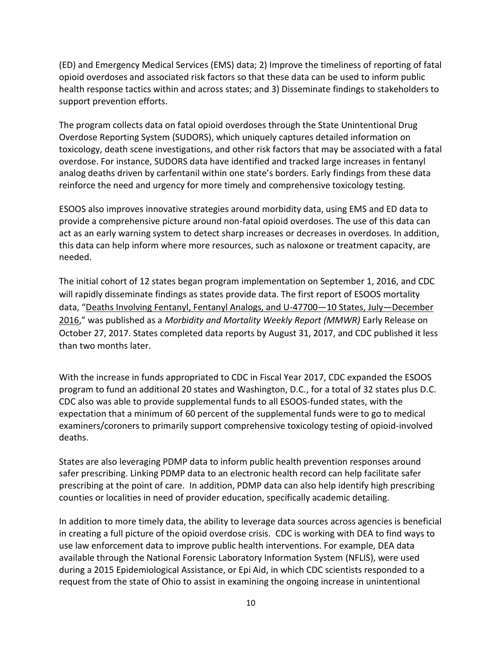(ED) and Emergency Medical Services (EMS) data; 2) Improve the timeliness of reporting of fatal opioid overdoses and associated risk factors so that these data can be used to inform public health response tactics within and across states; and 3) Disseminate findings to stakeholders to support prevention efforts.

The program collects data on fatal opioid overdoses through the State Unintentional Drug Overdose Reporting System (SUDORS), which uniquely captures detailed information on toxicology, death scene investigations, and other risk factors that may be associated with a fatal overdose. For instance, SUDORS data have identified and tracked large increases in fentanyl analog deaths driven by carfentanil within one state's borders. Early findings from these data reinforce the need and urgency for more timely and comprehensive toxicology testing.

ESOOS also improves innovative strategies around morbidity data, using EMS and ED data to provide a comprehensive picture around non-fatal opioid overdoses. The use of this data can act as an early warning system to detect sharp increases or decreases in overdoses. In addition, this data can help inform where more resources, such as naloxone or treatment capacity, are needed.

The initial cohort of 12 states began program implementation on September 1, 2016, and CDC will rapidly disseminate findings as states provide data. The first report of ESOOS mortality data, "[Deaths Involving Fentanyl, Fentanyl Analogs, and U-47700](https://www.cdc.gov/mmwr/volumes/66/wr/mm6643e1.htm)—10 States, July—December [2016](https://www.cdc.gov/mmwr/volumes/66/wr/mm6643e1.htm)," was published as a *Morbidity and Mortality Weekly Report (MMWR)* Early Release on October 27, 2017. States completed data reports by August 31, 2017, and CDC published it less than two months later.

With the increase in funds appropriated to CDC in Fiscal Year 2017, CDC expanded the ESOOS program to fund an additional 20 states and Washington, D.C., for a total of 32 states plus D.C. CDC also was able to provide supplemental funds to all ESOOS-funded states, with the expectation that a minimum of 60 percent of the supplemental funds were to go to medical examiners/coroners to primarily support comprehensive toxicology testing of opioid-involved deaths.

States are also leveraging PDMP data to inform public health prevention responses around safer prescribing. Linking PDMP data to an electronic health record can help facilitate safer prescribing at the point of care. In addition, PDMP data can also help identify high prescribing counties or localities in need of provider education, specifically academic detailing.

In addition to more timely data, the ability to leverage data sources across agencies is beneficial in creating a full picture of the opioid overdose crisis. CDC is working with DEA to find ways to use law enforcement data to improve public health interventions. For example, DEA data available through the National Forensic Laboratory Information System (NFLIS), were used during a 2015 Epidemiological Assistance, or Epi Aid, in which CDC scientists responded to a request from the state of Ohio to assist in examining the ongoing increase in unintentional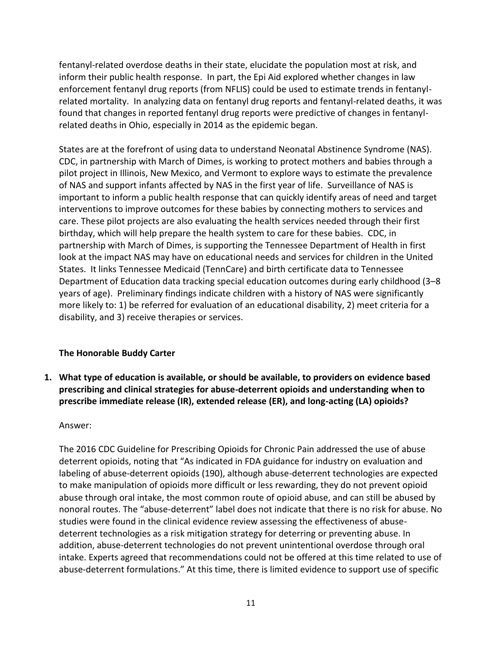fentanyl-related overdose deaths in their state, elucidate the population most at risk, and inform their public health response. In part, the Epi Aid explored whether changes in law enforcement fentanyl drug reports (from NFLIS) could be used to estimate trends in fentanylrelated mortality. In analyzing data on fentanyl drug reports and fentanyl-related deaths, it was found that changes in reported fentanyl drug reports were predictive of changes in fentanylrelated deaths in Ohio, especially in 2014 as the epidemic began.

States are at the forefront of using data to understand Neonatal Abstinence Syndrome (NAS). CDC, in partnership with March of Dimes, is working to protect mothers and babies through a pilot project in Illinois, New Mexico, and Vermont to explore ways to estimate the prevalence of NAS and support infants affected by NAS in the first year of life. Surveillance of NAS is important to inform a public health response that can quickly identify areas of need and target interventions to improve outcomes for these babies by connecting mothers to services and care. These pilot projects are also evaluating the health services needed through their first birthday, which will help prepare the health system to care for these babies. CDC, in partnership with March of Dimes, is supporting the Tennessee Department of Health in first look at the impact NAS may have on educational needs and services for children in the United States. It links Tennessee Medicaid (TennCare) and birth certificate data to Tennessee Department of Education data tracking special education outcomes during early childhood (3–8 years of age). Preliminary findings indicate children with a history of NAS were significantly more likely to: 1) be referred for evaluation of an educational disability, 2) meet criteria for a disability, and 3) receive therapies or services.

## **The Honorable Buddy Carter**

**1. What type of education is available, or should be available, to providers on evidence based prescribing and clinical strategies for abuse-deterrent opioids and understanding when to prescribe immediate release (IR), extended release (ER), and long-acting (LA) opioids?**

## Answer:

The 2016 CDC Guideline for Prescribing Opioids for Chronic Pain addressed the use of abuse deterrent opioids, noting that "As indicated in FDA guidance for industry on evaluation and labeling of abuse-deterrent opioids (190), although abuse-deterrent technologies are expected to make manipulation of opioids more difficult or less rewarding, they do not prevent opioid abuse through oral intake, the most common route of opioid abuse, and can still be abused by nonoral routes. The "abuse-deterrent" label does not indicate that there is no risk for abuse. No studies were found in the clinical evidence review assessing the effectiveness of abusedeterrent technologies as a risk mitigation strategy for deterring or preventing abuse. In addition, abuse-deterrent technologies do not prevent unintentional overdose through oral intake. Experts agreed that recommendations could not be offered at this time related to use of abuse-deterrent formulations." At this time, there is limited evidence to support use of specific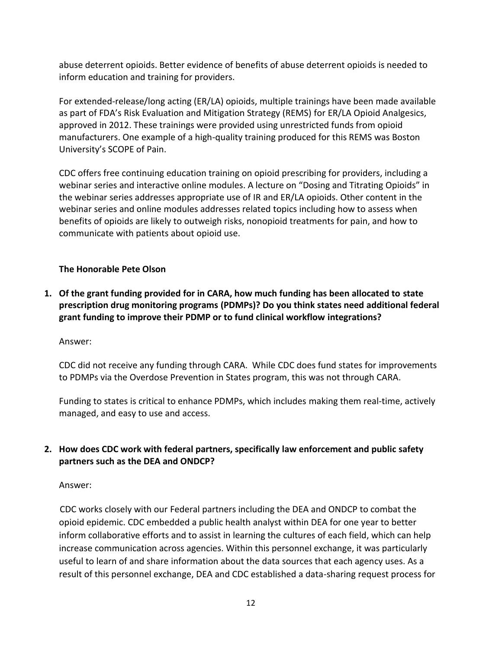abuse deterrent opioids. Better evidence of benefits of abuse deterrent opioids is needed to inform education and training for providers.

For extended-release/long acting (ER/LA) opioids, multiple trainings have been made available as part of FDA's Risk Evaluation and Mitigation Strategy (REMS) for ER/LA Opioid Analgesics, approved in 2012. These trainings were provided using unrestricted funds from opioid manufacturers. One example of a high-quality training produced for this REMS was Boston University's SCOPE of Pain.

CDC offers free continuing education training on opioid prescribing for providers, including a webinar series and interactive online modules. A lecture on "Dosing and Titrating Opioids" in the webinar series addresses appropriate use of IR and ER/LA opioids. Other content in the webinar series and online modules addresses related topics including how to assess when benefits of opioids are likely to outweigh risks, nonopioid treatments for pain, and how to communicate with patients about opioid use.

## **The Honorable Pete Olson**

**1. Of the grant funding provided for in CARA, how much funding has been allocated to state prescription drug monitoring programs (PDMPs)? Do you think states need additional federal grant funding to improve their PDMP or to fund clinical workflow integrations?**

## Answer:

CDC did not receive any funding through CARA. While CDC does fund states for improvements to PDMPs via the Overdose Prevention in States program, this was not through CARA.

Funding to states is critical to enhance PDMPs, which includes making them real-time, actively managed, and easy to use and access.

# **2. How does CDC work with federal partners, specifically law enforcement and public safety partners such as the DEA and ONDCP?**

## Answer:

 CDC works closely with our Federal partners including the DEA and ONDCP to combat the opioid epidemic. CDC embedded a public health analyst within DEA for one year to better inform collaborative efforts and to assist in learning the cultures of each field, which can help increase communication across agencies. Within this personnel exchange, it was particularly useful to learn of and share information about the data sources that each agency uses. As a result of this personnel exchange, DEA and CDC established a data-sharing request process for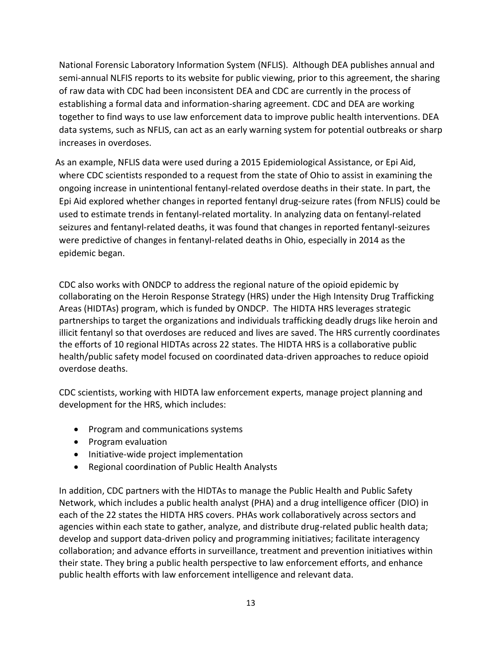National Forensic Laboratory Information System (NFLIS). Although DEA publishes annual and semi-annual NLFIS reports to its website for public viewing, prior to this agreement, the sharing of raw data with CDC had been inconsistent DEA and CDC are currently in the process of establishing a formal data and information-sharing agreement. CDC and DEA are working together to find ways to use law enforcement data to improve public health interventions. DEA data systems, such as NFLIS, can act as an early warning system for potential outbreaks or sharp increases in overdoses.

As an example, NFLIS data were used during a 2015 Epidemiological Assistance, or Epi Aid, where CDC scientists responded to a request from the state of Ohio to assist in examining the ongoing increase in unintentional fentanyl-related overdose deaths in their state. In part, the Epi Aid explored whether changes in reported fentanyl drug-seizure rates (from NFLIS) could be used to estimate trends in fentanyl-related mortality. In analyzing data on fentanyl-related seizures and fentanyl-related deaths, it was found that changes in reported fentanyl-seizures were predictive of changes in fentanyl-related deaths in Ohio, especially in 2014 as the epidemic began.

CDC also works with ONDCP to address the regional nature of the opioid epidemic by collaborating on the Heroin Response Strategy (HRS) under the High Intensity Drug Trafficking Areas (HIDTAs) program, which is funded by ONDCP. The HIDTA HRS leverages strategic partnerships to target the organizations and individuals trafficking deadly drugs like heroin and illicit fentanyl so that overdoses are reduced and lives are saved. The HRS currently coordinates the efforts of 10 regional HIDTAs across 22 states. The HIDTA HRS is a collaborative public health/public safety model focused on coordinated data-driven approaches to reduce opioid overdose deaths.

CDC scientists, working with HIDTA law enforcement experts, manage project planning and development for the HRS, which includes:

- Program and communications systems
- Program evaluation
- Initiative-wide project implementation
- Regional coordination of Public Health Analysts

In addition, CDC partners with the HIDTAs to manage the Public Health and Public Safety Network, which includes a public health analyst (PHA) and a drug intelligence officer (DIO) in each of the 22 states the HIDTA HRS covers. PHAs work collaboratively across sectors and agencies within each state to gather, analyze, and distribute drug-related public health data; develop and support data-driven policy and programming initiatives; facilitate interagency collaboration; and advance efforts in surveillance, treatment and prevention initiatives within their state. They bring a public health perspective to law enforcement efforts, and enhance public health efforts with law enforcement intelligence and relevant data.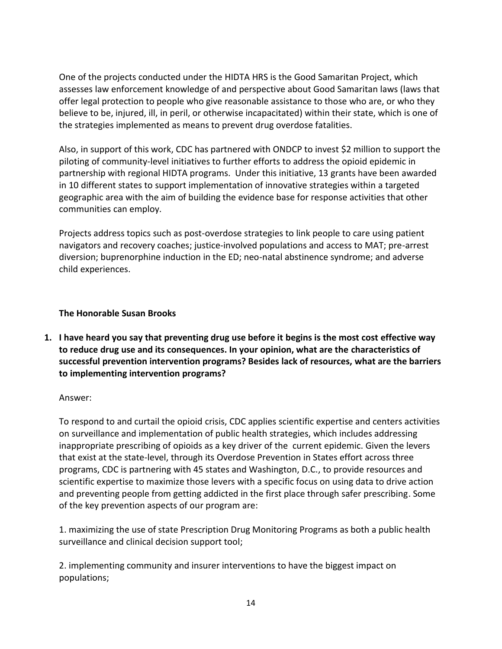One of the projects conducted under the HIDTA HRS is the Good Samaritan Project, which assesses law enforcement knowledge of and perspective about Good Samaritan laws (laws that offer legal protection to people who give reasonable assistance to those who are, or who they believe to be, injured, ill, in peril, or otherwise incapacitated) within their state, which is one of the strategies implemented as means to prevent drug overdose fatalities.

Also, in support of this work, CDC has partnered with ONDCP to invest \$2 million to support the piloting of community-level initiatives to further efforts to address the opioid epidemic in partnership with regional HIDTA programs. Under this initiative, 13 grants have been awarded in 10 different states to support implementation of innovative strategies within a targeted geographic area with the aim of building the evidence base for response activities that other communities can employ.

Projects address topics such as post-overdose strategies to link people to care using patient navigators and recovery coaches; justice-involved populations and access to MAT; pre-arrest diversion; buprenorphine induction in the ED; neo-natal abstinence syndrome; and adverse child experiences.

## **The Honorable Susan Brooks**

**1. I have heard you say that preventing drug use before it begins is the most cost effective way to reduce drug use and its consequences. In your opinion, what are the characteristics of successful prevention intervention programs? Besides lack of resources, what are the barriers to implementing intervention programs?**

### Answer:

To respond to and curtail the opioid crisis, CDC applies scientific expertise and centers activities on surveillance and implementation of public health strategies, which includes addressing inappropriate prescribing of opioids as a key driver of the current epidemic. Given the levers that exist at the state-level, through its Overdose Prevention in States effort across three programs, CDC is partnering with 45 states and Washington, D.C., to provide resources and scientific expertise to maximize those levers with a specific focus on using data to drive action and preventing people from getting addicted in the first place through safer prescribing. Some of the key prevention aspects of our program are:

1. maximizing the use of state Prescription Drug Monitoring Programs as both a public health surveillance and clinical decision support tool;

2. implementing community and insurer interventions to have the biggest impact on populations;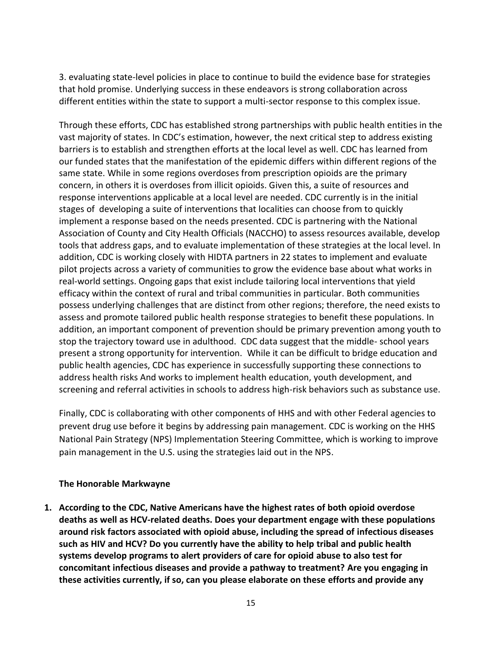3. evaluating state-level policies in place to continue to build the evidence base for strategies that hold promise. Underlying success in these endeavors is strong collaboration across different entities within the state to support a multi-sector response to this complex issue.

Through these efforts, CDC has established strong partnerships with public health entities in the vast majority of states. In CDC's estimation, however, the next critical step to address existing barriers is to establish and strengthen efforts at the local level as well. CDC has learned from our funded states that the manifestation of the epidemic differs within different regions of the same state. While in some regions overdoses from prescription opioids are the primary concern, in others it is overdoses from illicit opioids. Given this, a suite of resources and response interventions applicable at a local level are needed. CDC currently is in the initial stages of developing a suite of interventions that localities can choose from to quickly implement a response based on the needs presented. CDC is partnering with the National Association of County and City Health Officials (NACCHO) to assess resources available, develop tools that address gaps, and to evaluate implementation of these strategies at the local level. In addition, CDC is working closely with HIDTA partners in 22 states to implement and evaluate pilot projects across a variety of communities to grow the evidence base about what works in real-world settings. Ongoing gaps that exist include tailoring local interventions that yield efficacy within the context of rural and tribal communities in particular. Both communities possess underlying challenges that are distinct from other regions; therefore, the need exists to assess and promote tailored public health response strategies to benefit these populations. In addition, an important component of prevention should be primary prevention among youth to stop the trajectory toward use in adulthood. CDC data suggest that the middle- school years present a strong opportunity for intervention. While it can be difficult to bridge education and public health agencies, CDC has experience in successfully supporting these connections to address health risks And works to implement health education, youth development, and screening and referral activities in schools to address high-risk behaviors such as substance use.

Finally, CDC is collaborating with other components of HHS and with other Federal agencies to prevent drug use before it begins by addressing pain management. CDC is working on the HHS National Pain Strategy (NPS) Implementation Steering Committee, which is working to improve pain management in the U.S. using the strategies laid out in the NPS.

### **The Honorable Markwayne**

**1. According to the CDC, Native Americans have the highest rates of both opioid overdose deaths as well as HCV-related deaths. Does your department engage with these populations around risk factors associated with opioid abuse, including the spread of infectious diseases such as HIV and HCV? Do you currently have the ability to help tribal and public health systems develop programs to alert providers of care for opioid abuse to also test for concomitant infectious diseases and provide a pathway to treatment? Are you engaging in these activities currently, if so, can you please elaborate on these efforts and provide any**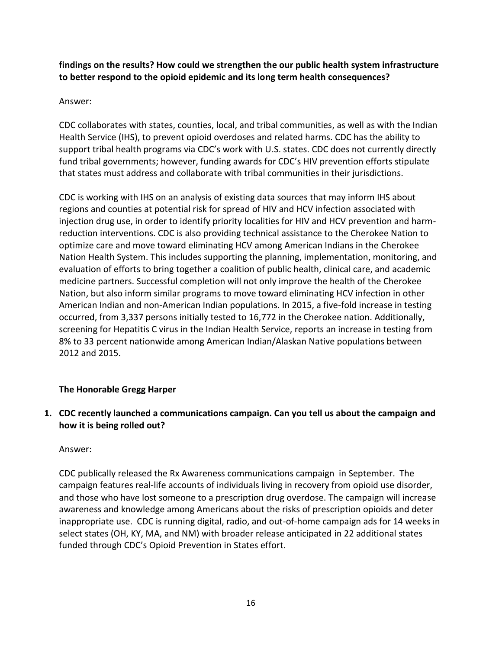**findings on the results? How could we strengthen the our public health system infrastructure to better respond to the opioid epidemic and its long term health consequences?**

## Answer:

CDC collaborates with states, counties, local, and tribal communities, as well as with the Indian Health Service (IHS), to prevent opioid overdoses and related harms. CDC has the ability to support tribal health programs via CDC's work with U.S. states. CDC does not currently directly fund tribal governments; however, funding awards for CDC's HIV prevention efforts stipulate that states must address and collaborate with tribal communities in their jurisdictions*.* 

CDC is working with IHS on an analysis of existing data sources that may inform IHS about regions and counties at potential risk for spread of HIV and HCV infection associated with injection drug use, in order to identify priority localities for HIV and HCV prevention and harmreduction interventions. CDC is also providing technical assistance to the Cherokee Nation to optimize care and move toward eliminating HCV among American Indians in the Cherokee Nation Health System. This includes supporting the planning, implementation, monitoring, and evaluation of efforts to bring together a coalition of public health, clinical care, and academic medicine partners. Successful completion will not only improve the health of the Cherokee Nation, but also inform similar programs to move toward eliminating HCV infection in other American Indian and non-American Indian populations. In 2015, a five-fold increase in testing occurred, from 3,337 persons initially tested to 16,772 in the Cherokee nation. Additionally, screening for Hepatitis C virus in the Indian Health Service, reports an increase in testing from 8% to 33 percent nationwide among American Indian/Alaskan Native populations between 2012 and 2015.

## **The Honorable Gregg Harper**

**1. CDC recently launched a communications campaign. Can you tell us about the campaign and how it is being rolled out?**

### Answer:

CDC publically released the Rx Awareness communications campaign in September. The campaign features real-life accounts of individuals living in recovery from opioid use disorder, and those who have lost someone to a prescription drug overdose. The campaign will increase awareness and knowledge among Americans about the risks of prescription opioids and deter inappropriate use. CDC is running digital, radio, and out-of-home campaign ads for 14 weeks in select states (OH, KY, MA, and NM) with broader release anticipated in 22 additional states funded through CDC's Opioid Prevention in States effort.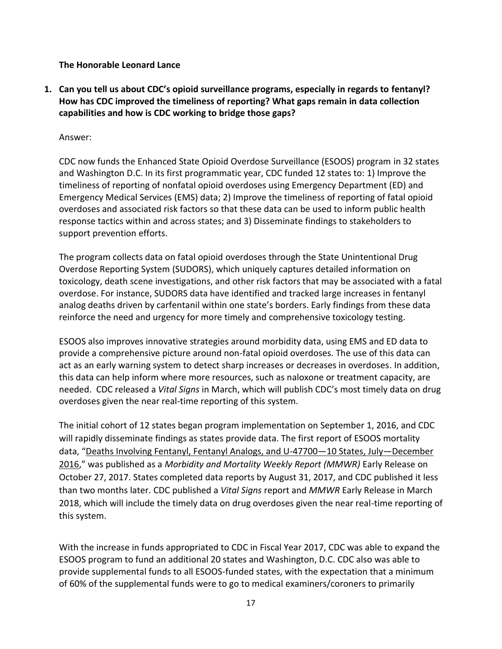**The Honorable Leonard Lance**

**1. Can you tell us about CDC's opioid surveillance programs, especially in regards to fentanyl? How has CDC improved the timeliness of reporting? What gaps remain in data collection capabilities and how is CDC working to bridge those gaps?**

Answer:

CDC now funds the Enhanced State Opioid Overdose Surveillance (ESOOS) program in 32 states and Washington D.C. In its first programmatic year, CDC funded 12 states to: 1) Improve the timeliness of reporting of nonfatal opioid overdoses using Emergency Department (ED) and Emergency Medical Services (EMS) data; 2) Improve the timeliness of reporting of fatal opioid overdoses and associated risk factors so that these data can be used to inform public health response tactics within and across states; and 3) Disseminate findings to stakeholders to support prevention efforts.

The program collects data on fatal opioid overdoses through the State Unintentional Drug Overdose Reporting System (SUDORS), which uniquely captures detailed information on toxicology, death scene investigations, and other risk factors that may be associated with a fatal overdose. For instance, SUDORS data have identified and tracked large increases in fentanyl analog deaths driven by carfentanil within one state's borders. Early findings from these data reinforce the need and urgency for more timely and comprehensive toxicology testing.

ESOOS also improves innovative strategies around morbidity data, using EMS and ED data to provide a comprehensive picture around non-fatal opioid overdoses. The use of this data can act as an early warning system to detect sharp increases or decreases in overdoses. In addition, this data can help inform where more resources, such as naloxone or treatment capacity, are needed. CDC released a *Vital Signs* in March, which will publish CDC's most timely data on drug overdoses given the near real-time reporting of this system.

The initial cohort of 12 states began program implementation on September 1, 2016, and CDC will rapidly disseminate findings as states provide data. The first report of ESOOS mortality data, "[Deaths Involving Fentanyl, Fentanyl Analogs, and U-47700](https://www.cdc.gov/mmwr/volumes/66/wr/mm6643e1.htm)—10 States, July—December [2016](https://www.cdc.gov/mmwr/volumes/66/wr/mm6643e1.htm)," was published as a *Morbidity and Mortality Weekly Report (MMWR)* Early Release on October 27, 2017. States completed data reports by August 31, 2017, and CDC published it less than two months later. CDC published a *Vital Signs* report and *MMWR* Early Release in March 2018, which will include the timely data on drug overdoses given the near real-time reporting of this system.

With the increase in funds appropriated to CDC in Fiscal Year 2017, CDC was able to expand the ESOOS program to fund an additional 20 states and Washington, D.C. CDC also was able to provide supplemental funds to all ESOOS-funded states, with the expectation that a minimum of 60% of the supplemental funds were to go to medical examiners/coroners to primarily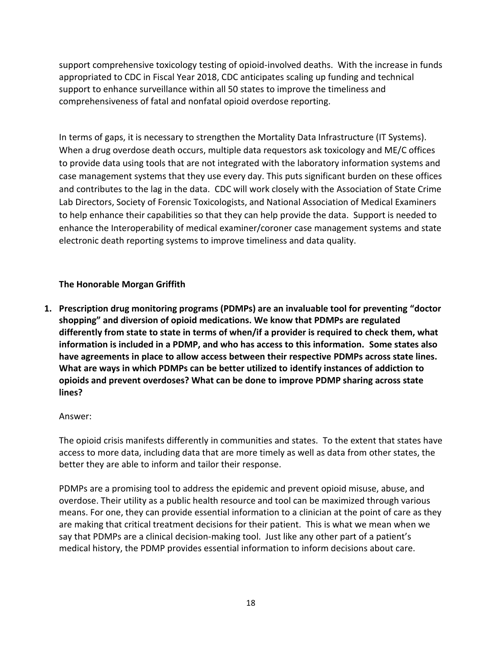support comprehensive toxicology testing of opioid-involved deaths. With the increase in funds appropriated to CDC in Fiscal Year 2018, CDC anticipates scaling up funding and technical support to enhance surveillance within all 50 states to improve the timeliness and comprehensiveness of fatal and nonfatal opioid overdose reporting.

In terms of gaps, it is necessary to strengthen the Mortality Data Infrastructure (IT Systems). When a drug overdose death occurs, multiple data requestors ask toxicology and ME/C offices to provide data using tools that are not integrated with the laboratory information systems and case management systems that they use every day. This puts significant burden on these offices and contributes to the lag in the data. CDC will work closely with the Association of State Crime Lab Directors, Society of Forensic Toxicologists, and National Association of Medical Examiners to help enhance their capabilities so that they can help provide the data. Support is needed to enhance the Interoperability of medical examiner/coroner case management systems and state electronic death reporting systems to improve timeliness and data quality.

## **The Honorable Morgan Griffith**

**1. Prescription drug monitoring programs (PDMPs) are an invaluable tool for preventing "doctor shopping" and diversion of opioid medications. We know that PDMPs are regulated differently from state to state in terms of when/if a provider is required to check them, what information is included in a PDMP, and who has access to this information. Some states also have agreements in place to allow access between their respective PDMPs across state lines. What are ways in which PDMPs can be better utilized to identify instances of addiction to opioids and prevent overdoses? What can be done to improve PDMP sharing across state lines?**

## Answer:

The opioid crisis manifests differently in communities and states. To the extent that states have access to more data, including data that are more timely as well as data from other states, the better they are able to inform and tailor their response.

PDMPs are a promising tool to address the epidemic and prevent opioid misuse, abuse, and overdose. Their utility as a public health resource and tool can be maximized through various means. For one, they can provide essential information to a clinician at the point of care as they are making that critical treatment decisions for their patient. This is what we mean when we say that PDMPs are a clinical decision-making tool. Just like any other part of a patient's medical history, the PDMP provides essential information to inform decisions about care.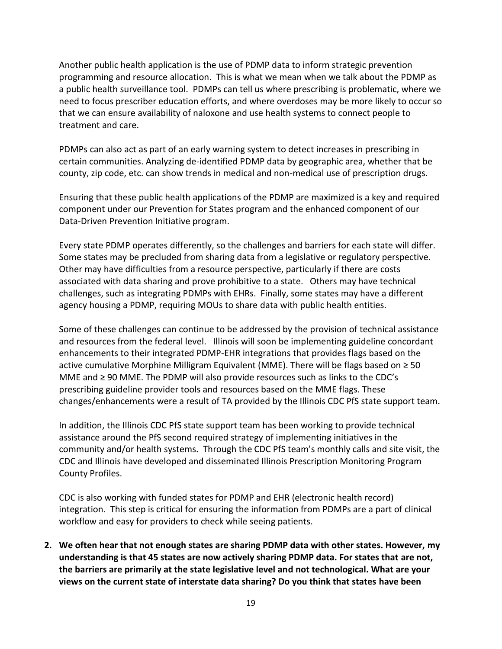Another public health application is the use of PDMP data to inform strategic prevention programming and resource allocation. This is what we mean when we talk about the PDMP as a public health surveillance tool. PDMPs can tell us where prescribing is problematic, where we need to focus prescriber education efforts, and where overdoses may be more likely to occur so that we can ensure availability of naloxone and use health systems to connect people to treatment and care.

PDMPs can also act as part of an early warning system to detect increases in prescribing in certain communities. Analyzing de-identified PDMP data by geographic area, whether that be county, zip code, etc. can show trends in medical and non-medical use of prescription drugs.

Ensuring that these public health applications of the PDMP are maximized is a key and required component under our Prevention for States program and the enhanced component of our Data-Driven Prevention Initiative program.

Every state PDMP operates differently, so the challenges and barriers for each state will differ. Some states may be precluded from sharing data from a legislative or regulatory perspective. Other may have difficulties from a resource perspective, particularly if there are costs associated with data sharing and prove prohibitive to a state. Others may have technical challenges, such as integrating PDMPs with EHRs. Finally, some states may have a different agency housing a PDMP, requiring MOUs to share data with public health entities.

Some of these challenges can continue to be addressed by the provision of technical assistance and resources from the federal level. Illinois will soon be implementing guideline concordant enhancements to their integrated PDMP-EHR integrations that provides flags based on the active cumulative Morphine Milligram Equivalent (MME). There will be flags based on  $\geq 50$ MME and  $\geq$  90 MME. The PDMP will also provide resources such as links to the CDC's prescribing guideline provider tools and resources based on the MME flags. These changes/enhancements were a result of TA provided by the Illinois CDC PfS state support team.

In addition, the Illinois CDC PfS state support team has been working to provide technical assistance around the PfS second required strategy of implementing initiatives in the community and/or health systems. Through the CDC PfS team's monthly calls and site visit, the CDC and Illinois have developed and disseminated Illinois Prescription Monitoring Program County Profiles.

CDC is also working with funded states for PDMP and EHR (electronic health record) integration. This step is critical for ensuring the information from PDMPs are a part of clinical workflow and easy for providers to check while seeing patients.

**2. We often hear that not enough states are sharing PDMP data with other states. However, my understanding is that 45 states are now actively sharing PDMP data. For states that are not, the barriers are primarily at the state legislative level and not technological. What are your views on the current state of interstate data sharing? Do you think that states have been**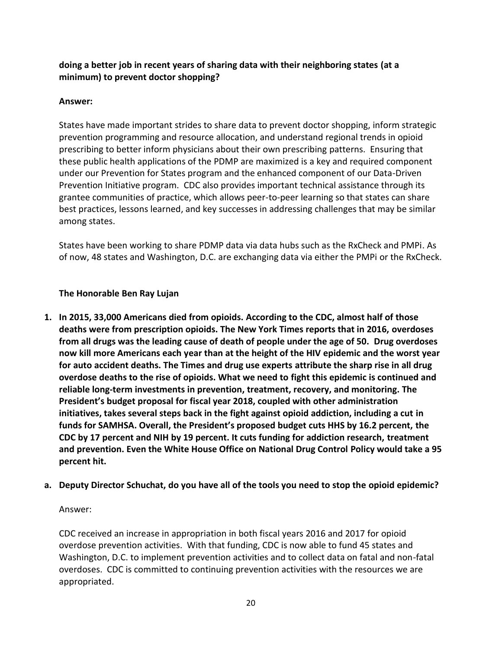## **doing a better job in recent years of sharing data with their neighboring states (at a minimum) to prevent doctor shopping?**

## **Answer:**

States have made important strides to share data to prevent doctor shopping, inform strategic prevention programming and resource allocation, and understand regional trends in opioid prescribing to better inform physicians about their own prescribing patterns. Ensuring that these public health applications of the PDMP are maximized is a key and required component under our Prevention for States program and the enhanced component of our Data-Driven Prevention Initiative program. CDC also provides important technical assistance through its grantee communities of practice, which allows peer-to-peer learning so that states can share best practices, lessons learned, and key successes in addressing challenges that may be similar among states.

States have been working to share PDMP data via data hubs such as the RxCheck and PMPi. As of now, 48 states and Washington, D.C. are exchanging data via either the PMPi or the RxCheck.

## **The Honorable Ben Ray Lujan**

- **1. In 2015, 33,000 Americans died from opioids. According to the CDC, almost half of those deaths were from prescription opioids. The New York Times reports that in 2016, overdoses from all drugs was the leading cause of death of people under the age of 50. Drug overdoses now kill more Americans each year than at the height of the HIV epidemic and the worst year for auto accident deaths. The Times and drug use experts attribute the sharp rise in all drug overdose deaths to the rise of opioids. What we need to fight this epidemic is continued and reliable long-term investments in prevention, treatment, recovery, and monitoring. The President's budget proposal for fiscal year 2018, coupled with other administration initiatives, takes several steps back in the fight against opioid addiction, including a cut in funds for SAMHSA. Overall, the President's proposed budget cuts HHS by 16.2 percent, the CDC by 17 percent and NIH by 19 percent. It cuts funding for addiction research, treatment and prevention. Even the White House Office on National Drug Control Policy would take a 95 percent hit.**
- **a. Deputy Director Schuchat, do you have all of the tools you need to stop the opioid epidemic?**

## Answer:

CDC received an increase in appropriation in both fiscal years 2016 and 2017 for opioid overdose prevention activities. With that funding, CDC is now able to fund 45 states and Washington, D.C. to implement prevention activities and to collect data on fatal and non-fatal overdoses. CDC is committed to continuing prevention activities with the resources we are appropriated.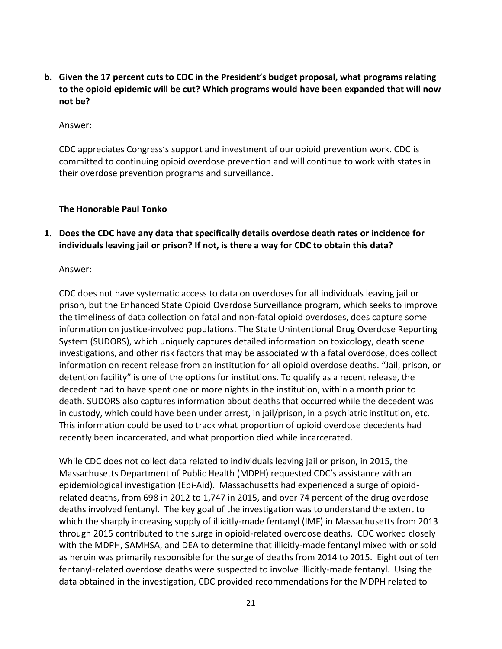**b. Given the 17 percent cuts to CDC in the President's budget proposal, what programs relating to the opioid epidemic will be cut? Which programs would have been expanded that will now not be?**

#### Answer:

CDC appreciates Congress's support and investment of our opioid prevention work. CDC is committed to continuing opioid overdose prevention and will continue to work with states in their overdose prevention programs and surveillance.

### **The Honorable Paul Tonko**

**1. Does the CDC have any data that specifically details overdose death rates or incidence for individuals leaving jail or prison? If not, is there a way for CDC to obtain this data?**

#### Answer:

CDC does not have systematic access to data on overdoses for all individuals leaving jail or prison, but the Enhanced State Opioid Overdose Surveillance program, which seeks to improve the timeliness of data collection on fatal and non-fatal opioid overdoses, does capture some information on justice-involved populations. The State Unintentional Drug Overdose Reporting System (SUDORS), which uniquely captures detailed information on toxicology, death scene investigations, and other risk factors that may be associated with a fatal overdose, does collect information on recent release from an institution for all opioid overdose deaths. "Jail, prison, or detention facility" is one of the options for institutions. To qualify as a recent release, the decedent had to have spent one or more nights in the institution, within a month prior to death. SUDORS also captures information about deaths that occurred while the decedent was in custody, which could have been under arrest, in jail/prison, in a psychiatric institution, etc. This information could be used to track what proportion of opioid overdose decedents had recently been incarcerated, and what proportion died while incarcerated.

While CDC does not collect data related to individuals leaving jail or prison, in 2015, the Massachusetts Department of Public Health (MDPH) requested CDC's assistance with an epidemiological investigation (Epi-Aid). Massachusetts had experienced a surge of opioidrelated deaths, from 698 in 2012 to 1,747 in 2015, and over 74 percent of the drug overdose deaths involved fentanyl. The key goal of the investigation was to understand the extent to which the sharply increasing supply of illicitly-made fentanyl (IMF) in Massachusetts from 2013 through 2015 contributed to the surge in opioid-related overdose deaths. CDC worked closely with the MDPH, SAMHSA, and DEA to determine that illicitly-made fentanyl mixed with or sold as heroin was primarily responsible for the surge of deaths from 2014 to 2015. Eight out of ten fentanyl-related overdose deaths were suspected to involve illicitly-made fentanyl. Using the data obtained in the investigation, CDC provided recommendations for the MDPH related to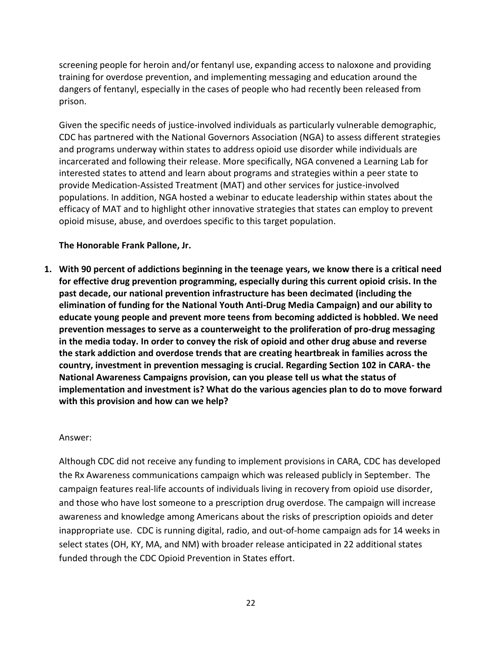screening people for heroin and/or fentanyl use, expanding access to naloxone and providing training for overdose prevention, and implementing messaging and education around the dangers of fentanyl, especially in the cases of people who had recently been released from prison.

Given the specific needs of justice-involved individuals as particularly vulnerable demographic, CDC has partnered with the National Governors Association (NGA) to assess different strategies and programs underway within states to address opioid use disorder while individuals are incarcerated and following their release. More specifically, NGA convened a Learning Lab for interested states to attend and learn about programs and strategies within a peer state to provide Medication-Assisted Treatment (MAT) and other services for justice-involved populations. In addition, NGA hosted a webinar to educate leadership within states about the efficacy of MAT and to highlight other innovative strategies that states can employ to prevent opioid misuse, abuse, and overdoes specific to this target population.

### **The Honorable Frank Pallone, Jr.**

**1. With 90 percent of addictions beginning in the teenage years, we know there is a critical need for effective drug prevention programming, especially during this current opioid crisis. In the past decade, our national prevention infrastructure has been decimated (including the elimination of funding for the National Youth Anti-Drug Media Campaign) and our ability to educate young people and prevent more teens from becoming addicted is hobbled. We need prevention messages to serve as a counterweight to the proliferation of pro-drug messaging in the media today. In order to convey the risk of opioid and other drug abuse and reverse the stark addiction and overdose trends that are creating heartbreak in families across the country, investment in prevention messaging is crucial. Regarding Section 102 in CARA- the National Awareness Campaigns provision, can you please tell us what the status of implementation and investment is? What do the various agencies plan to do to move forward with this provision and how can we help?**

### Answer:

Although CDC did not receive any funding to implement provisions in CARA, CDC has developed the Rx Awareness communications campaign which was released publicly in September. The campaign features real-life accounts of individuals living in recovery from opioid use disorder, and those who have lost someone to a prescription drug overdose. The campaign will increase awareness and knowledge among Americans about the risks of prescription opioids and deter inappropriate use. CDC is running digital, radio, and out-of-home campaign ads for 14 weeks in select states (OH, KY, MA, and NM) with broader release anticipated in 22 additional states funded through the CDC Opioid Prevention in States effort.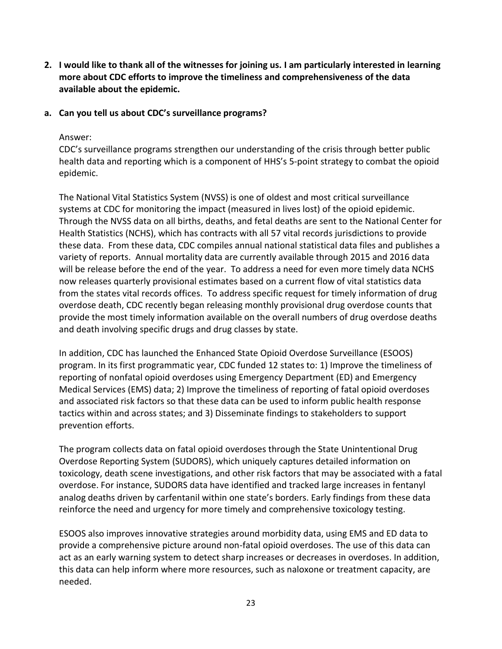- **2. I would like to thank all of the witnesses for joining us. I am particularly interested in learning more about CDC efforts to improve the timeliness and comprehensiveness of the data available about the epidemic.**
- **a. Can you tell us about CDC's surveillance programs?**

### Answer:

CDC's surveillance programs strengthen our understanding of the crisis through better public health data and reporting which is a component of HHS's 5-point strategy to combat the opioid epidemic.

The National Vital Statistics System (NVSS) is one of oldest and most critical surveillance systems at CDC for monitoring the impact (measured in lives lost) of the opioid epidemic. Through the NVSS data on all births, deaths, and fetal deaths are sent to the National Center for Health Statistics (NCHS), which has contracts with all 57 vital records jurisdictions to provide these data. From these data, CDC compiles annual national statistical data files and publishes a variety of reports. Annual mortality data are currently available through 2015 and 2016 data will be release before the end of the year. To address a need for even more timely data NCHS now releases quarterly provisional estimates based on a current flow of vital statistics data from the states vital records offices. To address specific request for timely information of drug overdose death, CDC recently began releasing monthly provisional drug overdose counts that provide the most timely information available on the overall numbers of drug overdose deaths and death involving specific drugs and drug classes by state.

In addition, CDC has launched the Enhanced State Opioid Overdose Surveillance (ESOOS) program. In its first programmatic year, CDC funded 12 states to: 1) Improve the timeliness of reporting of nonfatal opioid overdoses using Emergency Department (ED) and Emergency Medical Services (EMS) data; 2) Improve the timeliness of reporting of fatal opioid overdoses and associated risk factors so that these data can be used to inform public health response tactics within and across states; and 3) Disseminate findings to stakeholders to support prevention efforts.

The program collects data on fatal opioid overdoses through the State Unintentional Drug Overdose Reporting System (SUDORS), which uniquely captures detailed information on toxicology, death scene investigations, and other risk factors that may be associated with a fatal overdose. For instance, SUDORS data have identified and tracked large increases in fentanyl analog deaths driven by carfentanil within one state's borders. Early findings from these data reinforce the need and urgency for more timely and comprehensive toxicology testing.

ESOOS also improves innovative strategies around morbidity data, using EMS and ED data to provide a comprehensive picture around non-fatal opioid overdoses. The use of this data can act as an early warning system to detect sharp increases or decreases in overdoses. In addition, this data can help inform where more resources, such as naloxone or treatment capacity, are needed.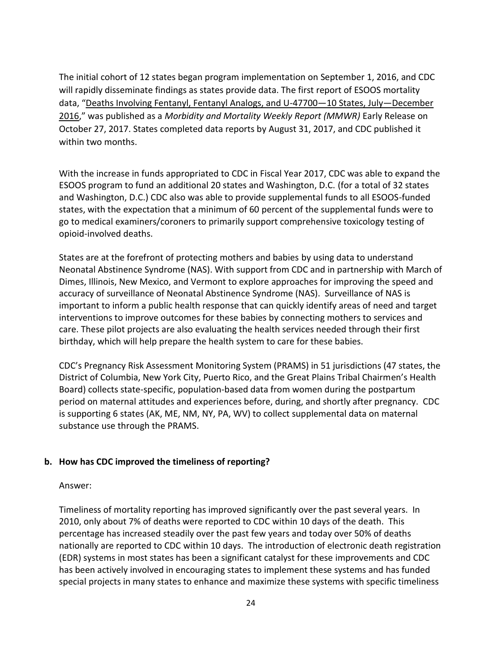The initial cohort of 12 states began program implementation on September 1, 2016, and CDC will rapidly disseminate findings as states provide data. The first report of ESOOS mortality data, "[Deaths Involving Fentanyl, Fentanyl Analogs, and U-47700](https://www.cdc.gov/mmwr/volumes/66/wr/mm6643e1.htm)—10 States, July—December [2016](https://www.cdc.gov/mmwr/volumes/66/wr/mm6643e1.htm)," was published as a *Morbidity and Mortality Weekly Report (MMWR)* Early Release on October 27, 2017. States completed data reports by August 31, 2017, and CDC published it within two months.

With the increase in funds appropriated to CDC in Fiscal Year 2017, CDC was able to expand the ESOOS program to fund an additional 20 states and Washington, D.C. (for a total of 32 states and Washington, D.C.) CDC also was able to provide supplemental funds to all ESOOS-funded states, with the expectation that a minimum of 60 percent of the supplemental funds were to go to medical examiners/coroners to primarily support comprehensive toxicology testing of opioid-involved deaths.

States are at the forefront of protecting mothers and babies by using data to understand Neonatal Abstinence Syndrome (NAS). With support from CDC and in partnership with March of Dimes, Illinois, New Mexico, and Vermont to explore approaches for improving the speed and accuracy of surveillance of Neonatal Abstinence Syndrome (NAS). Surveillance of NAS is important to inform a public health response that can quickly identify areas of need and target interventions to improve outcomes for these babies by connecting mothers to services and care. These pilot projects are also evaluating the health services needed through their first birthday, which will help prepare the health system to care for these babies.

CDC's Pregnancy Risk Assessment Monitoring System (PRAMS) in 51 jurisdictions (47 states, the District of Columbia, New York City, Puerto Rico, and the Great Plains Tribal Chairmen's Health Board) collects state-specific, population-based data from women during the postpartum period on maternal attitudes and experiences before, during, and shortly after pregnancy. CDC is supporting 6 states (AK, ME, NM, NY, PA, WV) to collect supplemental data on maternal substance use through the PRAMS.

### **b. How has CDC improved the timeliness of reporting?**

#### Answer:

Timeliness of mortality reporting has improved significantly over the past several years. In 2010, only about 7% of deaths were reported to CDC within 10 days of the death. This percentage has increased steadily over the past few years and today over 50% of deaths nationally are reported to CDC within 10 days. The introduction of electronic death registration (EDR) systems in most states has been a significant catalyst for these improvements and CDC has been actively involved in encouraging states to implement these systems and has funded special projects in many states to enhance and maximize these systems with specific timeliness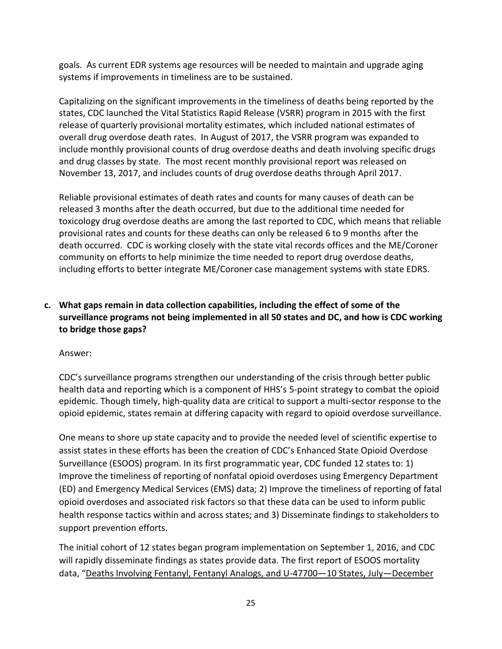goals. As current EDR systems age resources will be needed to maintain and upgrade aging systems if improvements in timeliness are to be sustained.

Capitalizing on the significant improvements in the timeliness of deaths being reported by the states, CDC launched the Vital Statistics Rapid Release (VSRR) program in 2015 with the first release of quarterly provisional mortality estimates, which included national estimates of overall drug overdose death rates. In August of 2017, the VSRR program was expanded to include monthly provisional counts of drug overdose deaths and death involving specific drugs and drug classes by state. The most recent monthly provisional report was released on November 13, 2017, and includes counts of drug overdose deaths through April 2017.

Reliable provisional estimates of death rates and counts for many causes of death can be released 3 months after the death occurred, but due to the additional time needed for toxicology drug overdose deaths are among the last reported to CDC, which means that reliable provisional rates and counts for these deaths can only be released 6 to 9 months after the death occurred. CDC is working closely with the state vital records offices and the ME/Coroner community on efforts to help minimize the time needed to report drug overdose deaths, including efforts to better integrate ME/Coroner case management systems with state EDRS.

# **c. What gaps remain in data collection capabilities, including the effect of some of the surveillance programs not being implemented in all 50 states and DC, and how is CDC working to bridge those gaps?**

Answer:

CDC's surveillance programs strengthen our understanding of the crisis through better public health data and reporting which is a component of HHS's 5-point strategy to combat the opioid epidemic. Though timely, high-quality data are critical to support a multi-sector response to the opioid epidemic, states remain at differing capacity with regard to opioid overdose surveillance.

One means to shore up state capacity and to provide the needed level of scientific expertise to assist states in these efforts has been the creation of CDC's Enhanced State Opioid Overdose Surveillance (ESOOS) program. In its first programmatic year, CDC funded 12 states to: 1) Improve the timeliness of reporting of nonfatal opioid overdoses using Emergency Department (ED) and Emergency Medical Services (EMS) data; 2) Improve the timeliness of reporting of fatal opioid overdoses and associated risk factors so that these data can be used to inform public health response tactics within and across states; and 3) Disseminate findings to stakeholders to support prevention efforts.

The initial cohort of 12 states began program implementation on September 1, 2016, and CDC will rapidly disseminate findings as states provide data. The first report of ESOOS mortality data, "[Deaths Involving Fentanyl, Fentanyl Analogs, and U-47700](https://www.cdc.gov/mmwr/volumes/66/wr/mm6643e1.htm)-10 States, July-December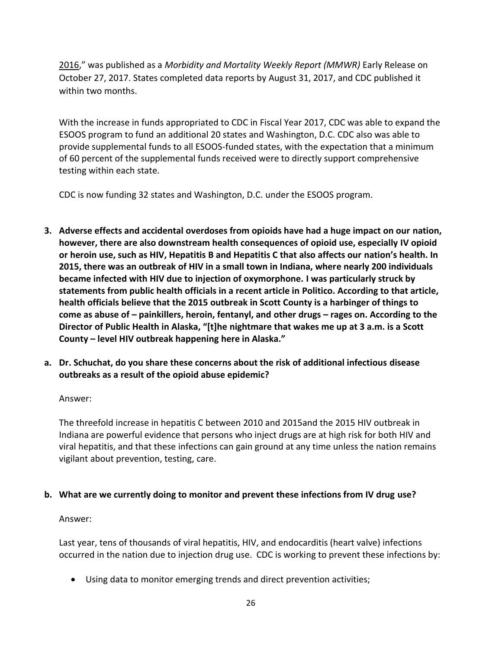[2016](https://www.cdc.gov/mmwr/volumes/66/wr/mm6643e1.htm)," was published as a *Morbidity and Mortality Weekly Report (MMWR)* Early Release on October 27, 2017. States completed data reports by August 31, 2017, and CDC published it within two months.

With the increase in funds appropriated to CDC in Fiscal Year 2017, CDC was able to expand the ESOOS program to fund an additional 20 states and Washington, D.C. CDC also was able to provide supplemental funds to all ESOOS-funded states, with the expectation that a minimum of 60 percent of the supplemental funds received were to directly support comprehensive testing within each state.

CDC is now funding 32 states and Washington, D.C. under the ESOOS program.

- **3. Adverse effects and accidental overdoses from opioids have had a huge impact on our nation, however, there are also downstream health consequences of opioid use, especially IV opioid or heroin use, such as HIV, Hepatitis B and Hepatitis C that also affects our nation's health. In 2015, there was an outbreak of HIV in a small town in Indiana, where nearly 200 individuals became infected with HIV due to injection of oxymorphone. I was particularly struck by statements from public health officials in a recent article in Politico. According to that article, health officials believe that the 2015 outbreak in Scott County is a harbinger of things to come as abuse of – painkillers, heroin, fentanyl, and other drugs – rages on. According to the Director of Public Health in Alaska, "[t]he nightmare that wakes me up at 3 a.m. is a Scott County – level HIV outbreak happening here in Alaska."**
- **a. Dr. Schuchat, do you share these concerns about the risk of additional infectious disease outbreaks as a result of the opioid abuse epidemic?**

### Answer:

The threefold increase in hepatitis C between 2010 and 2015and the 2015 HIV outbreak in Indiana are powerful evidence that persons who inject drugs are at high risk for both HIV and viral hepatitis, and that these infections can gain ground at any time unless the nation remains vigilant about prevention, testing, care.

## **b. What are we currently doing to monitor and prevent these infections from IV drug use?**

### Answer:

Last year, tens of thousands of viral hepatitis, HIV, and endocarditis (heart valve) infections occurred in the nation due to injection drug use. CDC is working to prevent these infections by:

Using data to monitor emerging trends and direct prevention activities;